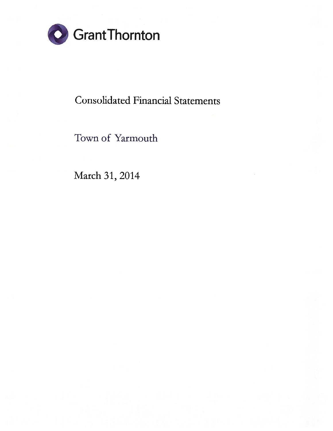

**Consolidated Financial Statements** 

Town of Yarmouth

March 31, 2014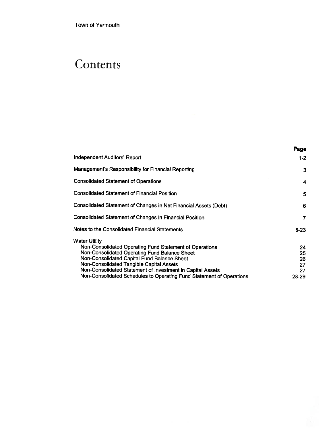# Contents

|                                                                                                                                                                                                                                                                                                                                                                   | Page                                |
|-------------------------------------------------------------------------------------------------------------------------------------------------------------------------------------------------------------------------------------------------------------------------------------------------------------------------------------------------------------------|-------------------------------------|
| Independent Auditors' Report                                                                                                                                                                                                                                                                                                                                      | $1 - 2$                             |
| Management's Responsibility for Financial Reporting                                                                                                                                                                                                                                                                                                               | 3                                   |
| <b>Consolidated Statement of Operations</b>                                                                                                                                                                                                                                                                                                                       | 4                                   |
| <b>Consolidated Statement of Financial Position</b>                                                                                                                                                                                                                                                                                                               | 5                                   |
| Consolidated Statement of Changes in Net Financial Assets (Debt)                                                                                                                                                                                                                                                                                                  | 6                                   |
| <b>Consolidated Statement of Changes in Financial Position</b>                                                                                                                                                                                                                                                                                                    | 7                                   |
| Notes to the Consolidated Financial Statements                                                                                                                                                                                                                                                                                                                    | $8-23$                              |
| <b>Water Utility</b><br>Non-Consolidated Operating Fund Statement of Operations<br>Non-Consolidated Operating Fund Balance Sheet<br>Non-Consolidated Capital Fund Balance Sheet<br>Non-Consolidated Tangible Capital Assets<br>Non-Consolidated Statement of Investment in Capital Assets<br>Non-Consolidated Schedules to Operating Fund Statement of Operations | 24<br>25<br>26<br>27<br>27<br>28-29 |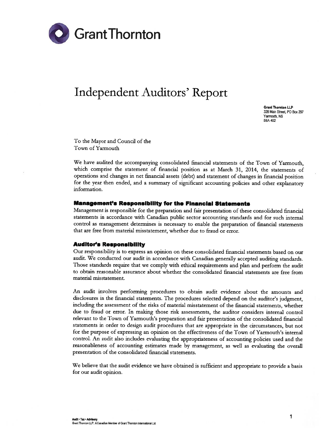

# Independent Auditors' Report

**Grant Thornton LLP** 328 Main Street, PO Box 297 Yarmouth, NS **B5A 4B2** 

To the Mayor and Council of the Town of Yarmouth

We have audited the accompanying consolidated financial statements of the Town of Yarmouth, which comprise the statement of financial position as at March 31, 2014, the statements of operations and changes in net financial assets (debt) and statement of changes in financial position for the year then ended, and a summary of significant accounting policies and other explanatory information.

### **Management's Responsibility for the Financial Statements**

Management is responsible for the preparation and fair presentation of these consolidated financial statements in accordance with Canadian public sector accounting standards and for such internal control as management determines is necessary to enable the preparation of financial statements that are free from material misstatement, whether due to fraud or error.

#### **Auditor's Responsibility**

Our responsibility is to express an opinion on these consolidated financial statements based on our audit. We conducted our audit in accordance with Canadian generally accepted auditing standards. Those standards require that we comply with ethical requirements and plan and perform the audit to obtain reasonable assurance about whether the consolidated financial statements are free from material misstatement.

An audit involves performing procedures to obtain audit evidence about the amounts and disclosures in the financial statements. The procedures selected depend on the auditor's judgment, including the assessment of the risks of material misstatement of the financial statements, whether due to fraud or error. In making those risk assessments, the auditor considers internal control relevant to the Town of Yarmouth's preparation and fair presentation of the consolidated financial statements in order to design audit procedures that are appropriate in the circumstances, but not for the purpose of expressing an opinion on the effectiveness of the Town of Yarmouth's internal control. An audit also includes evaluating the appropriateness of accounting policies used and the reasonableness of accounting estimates made by management, as well as evaluating the overall presentation of the consolidated financial statements.

We believe that the audit evidence we have obtained is sufficient and appropriate to provide a basis for our audit opinion.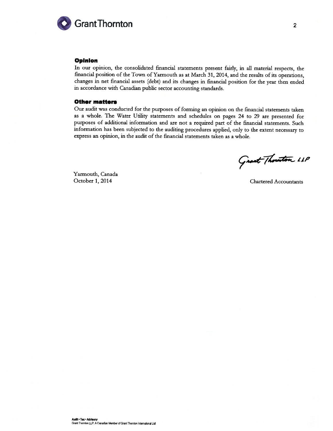

### **Opinion**

In our opinion, the consolidated financial statements present fairly, in all material respects, the financial position of the Town of Yarmouth as at March 31, 2014, and the results of its operations, changes in net financial assets (debt) and its changes in financial position for the year then ended in accordance with Canadian public sector accounting standards.

### **Other matters**

Our audit was conducted for the purposes of forming an opinion on the financial statements taken as a whole. The Water Utility statements and schedules on pages 24 to 29 are presented for purposes of additional information and are not a required part of the financial statements. Such information has been subjected to the auditing procedures applied, only to the extent necessary to express an opinion, in the audit of the financial statements taken as a whole.

Grant Thouton 11P

Yarmouth, Canada October 1, 2014

**Chartered Accountants**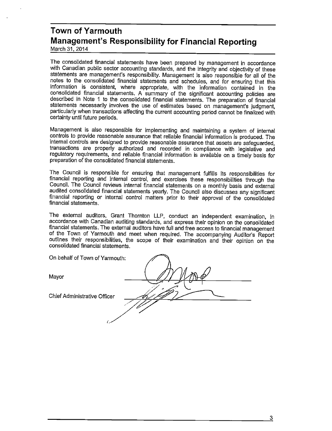# **Town of Yarmouth Management's Responsibility for Financial Reporting**

March 31,2014

The consolidated financial statements have been prepared by management in accordance with Canadian public sector accounting standards, and the integrity and objectivity of these statements are management's responsibility. Management is also responsible for all of the notes to the consolidated financial statements and schedules, and for ensuring that this information is consistent, where appropriate, with the information contained in the consolidated financial statements. A summary of the significant accounting policies are described in Note 1 to the consolidated financial statements. The preparation of financial statements necessarily involves the use of estimates based on management's judgment, particularly when transactions affecting the current accounting period cannot be finalized with certainty until future periods.

Management is also responsible for implementing and maintaining a system of internal controls to provide reasonable assurance that reliable financial information is produced. The internal controls are designed to provide reasonable assurance that assets are safeguarded, transactions are properly authorized and recorded in compliance with legislative and regulatory requirements, and reliable financial information is available on a timely basis for preparation of the consolidated financial statements.

The Council is responsible for ensuring that management fulfills its responsibilities for financial reporting and internal control, and exercises these responsibilities through the Council. The Council reviews internal financial statements on a monthly basis and external audited consolidated financial statements yearly. The Council also discusses any significant financial reporting or internal control matters prior to their approval of the consolidated financial statements.

The external auditors, Grant Thornton LLP, conduct an independent examination, in accordance with Canadian auditing standards, and express their opinion on the consolidated financial statements. The external auditors have full and free access to financial management of the Town of Yarmouth and meet when required. The accompanying Auditor's Report outlines their responsibilities, the scope of their examination and their opinion on the consolidated financial statements.

On behalf of Town of Yarmouth:

Mayor

Chief Administrative Officer

~ ,//7 -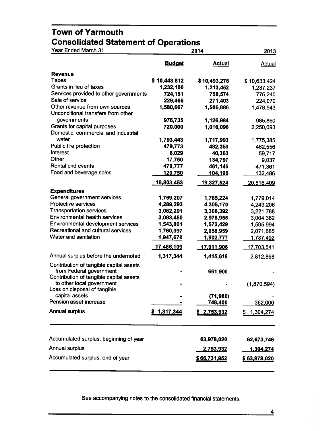# **Town of Yarmouth Consolidated Statement of Operations**

| <b>Year Ended March 31</b>                                           | 2014              |                   | 2013              |
|----------------------------------------------------------------------|-------------------|-------------------|-------------------|
|                                                                      | <b>Budget</b>     | <b>Actual</b>     | <b>Actual</b>     |
| <b>Revenue</b>                                                       |                   |                   |                   |
| Taxes                                                                | \$10,443,812      | \$10,493,276      | \$10,633,424      |
| Grants in lieu of taxes                                              | 1,232,100         | 1,213,452         | 1,237,237         |
| Services provided to other governments                               | 724,151           | 758,574           | 776,240           |
| Sale of service                                                      | 229,466           | 271,403           | 224,070           |
| Other revenue from own sources                                       | 1,580,667         | 1,506,886         | 1,478,943         |
| Unconditional transfers from other                                   |                   |                   |                   |
| governments                                                          | 976,735           | 1,126,984         | 985,860           |
| Grants for capital purposes                                          | 720,000           | 1,016,096         | 2,250,093         |
| Domestic, commercial and industrial                                  |                   |                   |                   |
| water                                                                | 1,793,443         | 1,717,993         | 1,775,385         |
| Public fire protection                                               | 479,773           | 482,359           | 482,556           |
| <b>Interest</b>                                                      | 6,029             | 40,363            | 59,717            |
| Other                                                                | 17,750            | 134,797           | 9,037             |
| Rental end events                                                    | 478,777           | 461,145           | 471,361           |
| Food and beverage sales                                              | 120,750           | 104,196           | 132,486           |
|                                                                      | <u>18,803,453</u> | <u>19,327,524</u> | 20,516,409        |
| <b>Expenditures</b>                                                  |                   |                   |                   |
| General government services                                          | 1,769,207         | 1,785,224         | 1,779,014         |
| <b>Protective services</b>                                           | 4,289,293         | 4,305,170         | 4,243,206         |
| <b>Transportation services</b>                                       | 3,082,291         | 3,308,392         | 3,221,788         |
| <b>Environmental health services</b>                                 | 3,093,450         | 2,978,955         | 3,004,362         |
| Environmental development services                                   | 1,543,801         | 1,572,429         | 1,595,994         |
| Recreational and cultural services                                   | 1,760,397         | 2,058,959         | 2,071,685         |
| Water and sanitation                                                 | 1,947,670         | 1,902,777         | 1,787,492         |
|                                                                      | <u>17,486,109</u> | <u>17,911,906</u> | <u>17,703,541</u> |
| Annual surplus before the undernoted                                 | 1,317,344         | 1,415,618         | 2,812,868         |
| Contribution of tangible capital assets                              |                   |                   |                   |
| from Federal government                                              |                   | 661,900           |                   |
| Contribution of tangible capital assets<br>to other local government |                   |                   |                   |
| Loss on disposal of tangible                                         |                   |                   | (1,870,594)       |
| capital assets                                                       |                   | (71, 986)         |                   |
| Pension asset increase                                               |                   | 748,400           | 362,000           |
| Annual surplus                                                       |                   |                   |                   |
|                                                                      | \$1,317,344       | \$2,753,932       | 1,304,274         |
|                                                                      |                   |                   |                   |
| Accumulated surplus, beginning of year                               |                   | 63,978,020        | 62,673,746        |
| Annual surplus                                                       |                   | <u>2,753,932</u>  | <u>1,304,274</u>  |
| Accumulated surplus, end of year                                     |                   | \$66,731,952      | \$63,978,020      |
|                                                                      |                   |                   |                   |

See accompanying notes to the consolidated financial statements.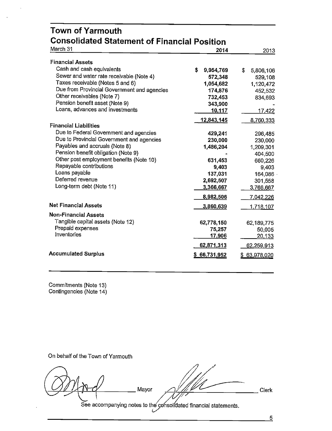| Town of Yarmouth                                    |                 |                 |
|-----------------------------------------------------|-----------------|-----------------|
| <b>Consolidated Statement of Financial Position</b> |                 |                 |
| March 31                                            | 2014            | 2013            |
| <b>Financial Assets</b>                             |                 |                 |
| Cash and cash equivalents                           | \$<br>9,954,769 | \$<br>5,806,106 |
| Sewer and water rate receivable (Note 4)            | 572,348         | 529,108         |
| Taxes receivable (Notes 5 and 6)                    | 1,054,682       | 1,120,472       |
| Due from Provincial Government and agencies         | 174,876         | 452,532         |
| Other receivables (Note 7)                          | 732,453         | 834,693         |
| Pension benefit asset (Note 9)                      | 343,900         |                 |
| Loans, advances and investments                     | 10,117          | <u>17,422</u>   |
|                                                     | 12,843,145      | 8,760,333       |
| <b>Financial Liabilities</b>                        |                 |                 |
| Due to Federal Government and agencies              | 429,241         | 296,485         |
| Due to Provincial Government and agencies           | 230,000         | 230,000         |
| Payables and accruals (Note 8)                      | 1,486,204       | 1,209,301       |
| Pension benefit obligation (Note 9)                 |                 | 404,500         |
| Other post employment benefits (Note 10)            | 631,453         | 660,226         |
| Repayable contributions                             | 9,403           | 9,403           |
| Loans payable<br>Deferred revenue                   | 137,031         | 164,086         |
| Long-term debt (Note 11)                            | 2,692,507       | 301,558         |
|                                                     | 3,366,667       | 3,766,667       |
|                                                     | 8,982,506       | 7,042,226       |
| <b>Net Financial Assets</b>                         | 3,860,639       | 1,718,107       |
| <b>Non-Financial Assets</b>                         |                 |                 |
| Tangible capital assets (Note 12)                   | 62,778,150      | 62,189,775      |
| Prepaid expenses                                    | 75,257          | 50,005          |
| Inventories                                         | 17,906          | 20,133          |
|                                                     | 62,871,313      | 62,259,913      |
| <b>Accumulated Surplus</b>                          | \$66,731,952    | \$63,978,020    |
|                                                     |                 |                 |

Commitments (Note 13) Contingencies(Note 14)

On behalf of the Town of Yarmouth

Mayor Clerk See accompanying notes to the consolidated financial statements.  $\overline{5}$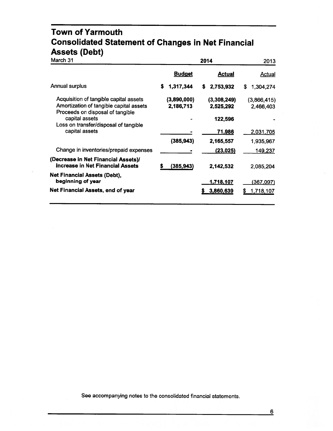# **Town of Yarmouth Consolidated Statement of Changes in Net Financial Assets (Debt)**

| March 31                                                                                                              |                          | 2014                       | 2013                     |
|-----------------------------------------------------------------------------------------------------------------------|--------------------------|----------------------------|--------------------------|
|                                                                                                                       | <b>Budget</b>            | <b>Actual</b>              | <b>Actual</b>            |
| <b>Annual surplus</b>                                                                                                 | S<br>1,317,344           | 2,753,932<br>S             | \$<br>1,304,274          |
| Acquisition of tangible capital assets<br>Amortization of tangible capital assets<br>Proceeds on disposal of tangible | (3,890,000)<br>2,186,713 | (3,308,249)<br>2,525,292   | (3,866,415)<br>2,466,403 |
| capital assets<br>Loss on transfer/disposal of tangible                                                               |                          | 122,596                    |                          |
| capital assets                                                                                                        | (385, 943)               | <u>71,986</u><br>2,165,557 | 2,031,705<br>1,935,967   |
| Change in inventories/prepaid expenses                                                                                |                          | (23, 025)                  | <u>149,237</u>           |
| (Decrease in Net Financial Assets)/<br><b>Increase in Net Financial Assets</b>                                        | (385,943)                | 2,142,532                  | 2,085,204                |
| <b>Net Financial Assets (Debt),</b><br>beginning of year                                                              |                          | 1,718,107                  | (367, 097)               |
| Net Financial Assets, end of year                                                                                     |                          | 3,860,639                  | 1,718,107                |
|                                                                                                                       |                          |                            |                          |

See accompanying notes to the consolidated financial statements.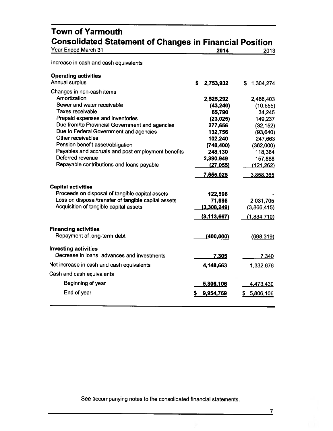| Town of Yarmouth                                                                         |   |                    |    |                      |
|------------------------------------------------------------------------------------------|---|--------------------|----|----------------------|
| <b>Consolidated Statement of Changes in Financial Position</b>                           |   |                    |    |                      |
| Year Ended March 31                                                                      |   | 2014               |    | 2013                 |
|                                                                                          |   |                    |    |                      |
| Increase in cash and cash equivalents                                                    |   |                    |    |                      |
| <b>Operating activities</b>                                                              |   |                    |    |                      |
| <b>Annual surplus</b>                                                                    | S | 2,753,932          | S. | 1,304,274            |
| Changes in non-cash items                                                                |   |                    |    |                      |
| Amortization                                                                             |   | 2,525,292          |    | 2,466,403            |
| Sewer and water receivable                                                               |   | (43, 240)          |    | (10, 655)            |
| Taxes receivable                                                                         |   | 65,790             |    | 34,245               |
| Prepaid expenses and inventories                                                         |   | (23, 025)          |    | 149,237              |
| Due from/to Provincial Government and agencies<br>Due to Federal Government and agencies |   | 277,656            |    | (32, 152)            |
| Other receivables                                                                        |   | 132,756<br>102,240 |    | (93, 640)<br>247,663 |
| Pension benefit asset/obligation                                                         |   | (748, 400)         |    | (362,000)            |
| Payables and accruals and post employment benefits                                       |   | 248,130            |    | 118,364              |
| Deferred revenue                                                                         |   | 2,390,949          |    | 157,888              |
| Repayable contributions and loans payable                                                |   | (27, 055)          |    | (121, 262)           |
|                                                                                          |   | 7,655,025          |    | 3,858,365            |
| <b>Capital activities</b>                                                                |   |                    |    |                      |
| Proceeds on disposal of tangible capital assets                                          |   | 122,596            |    |                      |
| Loss on disposal/transfer of tangible capital assets                                     |   | 71,986             |    | 2,031,705            |
| Acquisition of tangible capital assets                                                   |   | <u>(3,308,249)</u> |    | (3,866,415)          |
|                                                                                          |   |                    |    |                      |
|                                                                                          |   | (3, 113, 667)      |    | (1,834,710)          |
| <b>Financing activities</b>                                                              |   |                    |    |                      |
| Repayment of long-term debt                                                              |   | (400,000)          |    | (698, 319)           |
| <b>Investing activities</b>                                                              |   |                    |    |                      |
| Decrease in loans, advances and investments                                              |   | 7,305              |    | 7,340                |
| Net increase in cash and cash equivalents                                                |   | 4,148,663          |    | 1,332,676            |
| Cash and cash equivalents                                                                |   |                    |    |                      |
| Beginning of year                                                                        |   | 5,806,106          |    | 4,473,430            |
| End of year                                                                              |   | 9,954,769          | s. | 5,806,106            |
|                                                                                          |   |                    |    |                      |

See accompanying notes to the consolidated financial statements.

 $\overline{1}$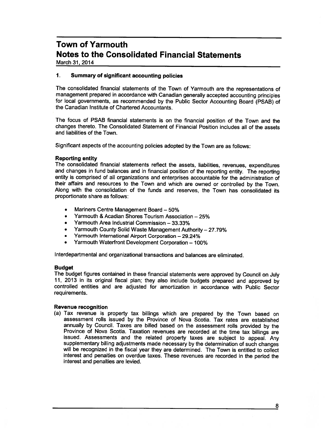March 31, 2014

#### $\mathbf{1}$ . **Summary of significant accounting policies**

The consolidated financial statements of the Town of Yarmouth are the representations of management prepared in accordance with Canadian generally accepted accounting principles for local governments, as recommended by the Public Sector Accounting Board (PSAB) of the Canadian Institute of Chartered Accountants.

The focus of PSAB financial statements is on the financial position of the Town and the changes thereto. The Consolidated Statement of Financial Position includes all of the assets and liabilities of the Town.

Significant aspects of the accounting policies adopted by the Town are as follows:

### **Reporting entity**

The consolidated financial statements reflect the assets, liabilities, revenues, expenditures and changes in fund balances and in financial position of the reporting entity. The reporting entity is comprised of all organizations and enterprises accountable for the administration of their affairs and resources to the Town and which are owned or controlled by the Town. Along with the consolidation of the funds and reserves, the Town has consolidated its proportionate share as follows:

- Mariners Centre Management Board 50%
- Yarmouth & Acadian Shores Tourism Association 25%  $\bullet$
- Yarmouth Area Industrial Commission 33.33%
- Yarmouth County Solid Waste Management Authority 27.79%  $\bullet$
- Yarmouth International Airport Corporation 29.24%  $\bullet$
- Yarmouth Waterfront Development Corporation 100%

Interdepartmental and organizational transactions and balances are eliminated.

### **Budget**

The budget figures contained in these financial statements were approved by Council on July 11, 2013 in its original fiscal plan; they also include budgets prepared and approved by controlled entities and are adjusted for amortization in accordance with Public Sector requirements.

### **Revenue recognition**

(a) Tax revenue is property tax billings which are prepared by the Town based on assessment rolls issued by the Province of Nova Scotia. Tax rates are established annually by Council. Taxes are billed based on the assessment rolls provided by the Province of Nova Scotia. Taxation revenues are recorded at the time tax billings are issued. Assessments and the related property taxes are subject to appeal. Any supplementary billing adjustments made necessary by the determination of such changes will be recognized in the fiscal year they are determined. The Town is entitled to collect interest and penalties on overdue taxes. These revenues are recorded in the period the interest and penalties are levied.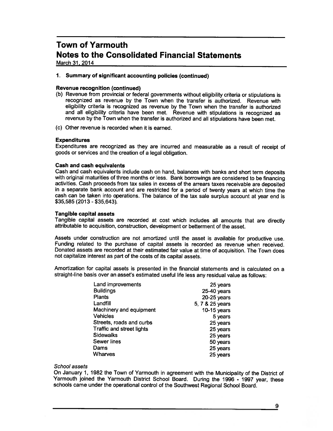March 31, 2014

### 1. Summary of significant accounting policies (continued)

### **Revenue recognition (continued)**

- (b) Revenue from provincial or federal governments without eligibility criteria or stipulations is recognized as revenue by the Town when the transfer is authorized. Revenue with eligibility criteria is recognized as revenue by the Town when the transfer is authorized and all eligibility criteria have been met. Revenue with stipulations is recognized as revenue by the Town when the transfer is authorized and all stipulations have been met.
- (c) Other revenue is recorded when it is earned.

### **Expenditures**

Expenditures are recognized as they are incurred and measurable as a result of receipt of goods or services and the creation of a legal obligation.

### **Cash and cash equivalents**

Cash and cash equivalents include cash on hand, balances with banks and short term deposits with original maturities of three months or less. Bank borrowings are considered to be financing activities. Cash proceeds from tax sales in excess of the arrears taxes receivable are deposited in a separate bank account and are restricted for a period of twenty years at which time the cash can be taken into operations. The balance of the tax sale surplus account at year end is  $$35,585(2013 - $35,643)$ .

### **Tangible capital assets**

Tangible capital assets are recorded at cost which includes all amounts that are directly attributable to acquisition, construction, development or betterment of the asset.

Assets under construction are not amortized until the asset is available for productive use. Funding related to the purchase of capital assets is recorded as revenue when received. Donated assets are recorded at their estimated fair value at time of acquisition. The Town does not capitalize interest as part of the costs of its capital assets.

Amortization for capital assets is presented in the financial statements and is calculated on a straight-line basis over an asset's estimated useful life less any residual value as follows:

| 25 years        |
|-----------------|
| 25-40 years     |
| 20-25 years     |
| 5, 7 & 25 years |
| $10-15$ years   |
| 5 years         |
| 25 years        |
| 25 years        |
| 25 years        |
| 50 years        |
| 25 years        |
| 25 years        |
|                 |

### **School assets**

On January 1, 1982 the Town of Yarmouth in agreement with the Municipality of the District of Yarmouth joined the Yarmouth District School Board. During the 1996 - 1997 year, these schools came under the operational control of the Southwest Regional School Board.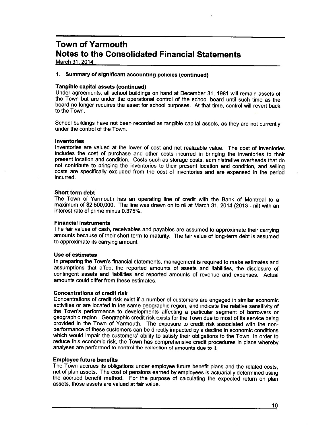March 31, 2014

### 1. Summary of significant accounting policies (continued)

### Tangible capital assets (continued)

Under agreements, all school buildings on hand at December 31, 1981 will remain assets of the Town but are under the operational control of the school board until such time as the board no longer requires the asset for school purposes. At that time, control will revert back to the Town.

School buildings have not been recorded as tangible capital assets, as they are not currently under the control of the Town.

### **Inventories**

Inventories are valued at the lower of cost and net realizable value. The cost of inventories includes the cost of purchase and other costs incurred in bringing the inventories to their present location and condition. Costs such as storage costs, administrative overheads that do not contribute to bringing the inventories to their present location and condition, and selling costs are specifically excluded from the cost of inventories and are expensed in the period incurred.

### Short term debt

The Town of Yarmouth has an operating line of credit with the Bank of Montreal to a maximum of \$2,500,000. The line was drawn on to nil at March 31, 2014 (2013 - nil) with an interest rate of prime minus 0.375%.

### **Financial instruments**

The fair values of cash, receivables and payables are assumed to approximate their carrying amounts because of their short term to maturity. The fair value of long-term debt is assumed to approximate its carrying amount.

### Use of estimates

In preparing the Town's financial statements, management is required to make estimates and assumptions that affect the reported amounts of assets and liabilities, the disclosure of contingent assets and liabilities and reported amounts of revenue and expenses. Actual amounts could differ from these estimates.

### **Concentrations of credit risk**

Concentrations of credit risk exist if a number of customers are engaged in similar economic activities or are located in the same geographic region, and indicate the relative sensitivity of the Town's performance to developments affecting a particular segment of borrowers or geographic region. Geographic credit risk exists for the Town due to most of its service being provided in the Town of Yarmouth. The exposure to credit risk associated with the nonperformance of these customers can be directly impacted by a decline in economic conditions which would impair the customers' ability to satisfy their obligations to the Town. In order to reduce this economic risk, the Town has comprehensive credit procedures in place whereby analyses are performed to control the collection of amounts due to it.

### **Employee future benefits**

The Town accrues its obligations under employee future benefit plans and the related costs, net of plan assets. The cost of pensions earned by employees is actuarially determined using the accrued benefit method. For the purpose of calculating the expected return on plan assets, those assets are valued at fair value.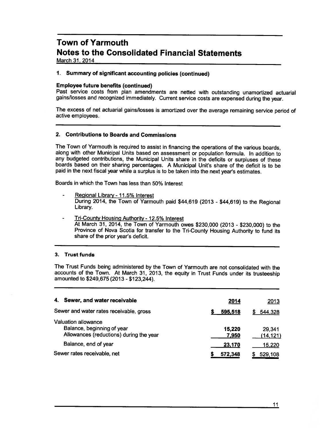March 31, 2014

### 1. Summary of significant accounting policies (continued)

### **Employee future benefits (continued)**

Past service costs from plan amendments are netted with outstanding unamortized actuarial gains/losses and recognized immediately. Current service costs are expensed during the year.

The excess of net actuarial gains/losses is amortized over the average remaining service period of active employees.

### 2. Contributions to Boards and Commissions

The Town of Yarmouth is required to assist in financing the operations of the various boards, along with other Municipal Units based on assessment or population formula. In addition to any budgeted contributions, the Municipal Units share in the deficits or surpluses of these boards based on their sharing percentages. A Municipal Unit's share of the deficit is to be paid in the next fiscal year while a surplus is to be taken into the next year's estimates.

Boards in which the Town has less than 50% Interest

- Regional Library 11.5% Interest During 2014, the Town of Yarmouth paid \$44,619 (2013 - \$44,619) to the Regional Library.
- Tri-County Housing Authority 12.5% Interest At March 31, 2014, the Town of Yarmouth owes \$230,000 (2013 - \$230,000) to the Province of Nova Scotia for transfer to the Tri-County Housing Authority to fund its share of the prior year's deficit.

### 3. Trust funds

The Trust Funds being administered by the Town of Yarmouth are not consolidated with the accounts of the Town. At March 31, 2013, the equity in Trust Funds under its trusteeship amounted to \$249,675 (2013 - \$123,244).

| 4. Sewer, and water receivable                                                               | 2014            | 2013               |
|----------------------------------------------------------------------------------------------|-----------------|--------------------|
| Sewer and water rates receivable, gross                                                      | 595,518         | 544,328<br>S.      |
| Valuation allowance<br>Balance, beginning of year<br>Allowances (reductions) during the year | 15,220<br>7.950 | 29,341<br>(14,121) |
| Balance, end of year                                                                         | 23,170          | 15,220             |
| Sewer rates receivable, net                                                                  | 572,348         | 529,108            |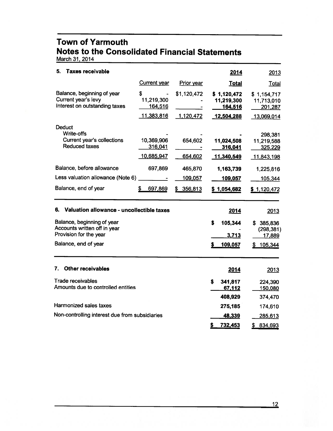March 31, 2014

| 5.<br><b>Taxes receivable</b>                                                        |                             |                   |                                      |                                      |
|--------------------------------------------------------------------------------------|-----------------------------|-------------------|--------------------------------------|--------------------------------------|
|                                                                                      |                             |                   | 2014                                 | 2013                                 |
|                                                                                      | <b>Current year</b>         | <b>Prior year</b> | <b>Total</b>                         | Total                                |
| Balance, beginning of year<br>Current year's levy<br>Interest on outstanding taxes   | \$<br>11,219,300<br>164,516 | \$1,120,472       | \$1,120,472<br>11,219,300<br>164,516 | \$1,154,717<br>11,713,010<br>201,287 |
|                                                                                      | 11,383,816                  | 1,120,472         | 12,504,288                           | 13,069,014                           |
| Deduct<br>Write-offs<br><b>Current year's collections</b><br><b>Reduced taxes</b>    | 10,369,906<br>316,041       | 654,602           | 11,024,508<br>316,041                | 298,381<br>11,219,588<br>325,229     |
|                                                                                      | 10,685,947                  | 654,602           | 11,340,549                           | 11,843,198                           |
| Balance, before allowance                                                            | 697,869                     | 465,870           | 1,163,739                            | 1,225,816                            |
| Less valuation allowance (Note 6)                                                    |                             | 109,057           | 109,057                              | 105,344                              |
| Balance, end of year                                                                 | 697,869<br>\$               | 356,813<br>\$     | \$1,054,682                          | \$1,120,472                          |
| Valuation allowance - uncollectible taxes<br>6.                                      |                             |                   | 2014                                 | 2013                                 |
| Balance, beginning of year<br>Accounts written off in year<br>Provision for the year |                             |                   | \$<br>105,344                        | S.<br>385,836<br>(298, 381)          |
| Balance, end of year                                                                 |                             |                   | 3,713<br>109,057<br>\$               | 17,889<br>\$105,344                  |
|                                                                                      |                             |                   |                                      |                                      |
| <b>Other receivables</b><br>7.                                                       |                             |                   | 2014                                 | 2013                                 |
| <b>Trade receivables</b><br>Amounts due to controlled entities                       |                             |                   | \$<br>341,817<br>67,112              | 224,390<br>150,080                   |
|                                                                                      |                             |                   | 408,929                              | 374,470                              |
| Harmonized sales taxes                                                               |                             |                   | 275,185                              | 174,610                              |
| Non-controlling interest due from subsidiaries                                       |                             |                   | 48,339                               | 285,613                              |
|                                                                                      |                             |                   | \$<br>732.453                        | 834.693                              |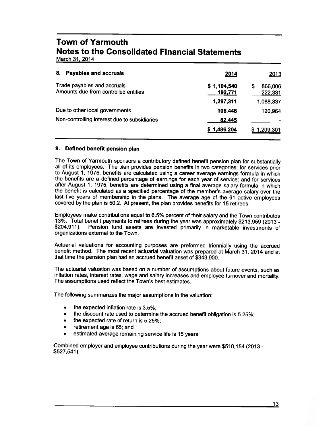| 8.<br><b>Payables and accruals</b>                                  | <u>2014</u>            | 2013                    |
|---------------------------------------------------------------------|------------------------|-------------------------|
| Trade payables and accruals<br>Amounts due from controlled entities | \$1,104,540<br>192,771 | 866,006<br>S<br>222,331 |
|                                                                     | 1,297,311              | 1,088,337               |
| Due to other local governments                                      | 106,448                | 120,964                 |
| Non-controlling interest due to subsidiaries                        | 82,445                 |                         |
|                                                                     | 1,486,204              | 1,209,301               |
|                                                                     |                        |                         |

March 31, 2014

### 9. Defined benefit pension plan

The Town of Yarmouth sponsors a contributory defined benefit pension plan for substantially all of its employees. The plan provides pension benefits in two categories: for services prior to August 1, 1975, benefits are calculated using a career average earnings formula in which the benefits are a defined percentage of earnings for each year of service; and for services after August 1, 1975, benefits are determined using a final average salary formula in which the benefit is calculated as a specified percentage of the member's average salary over the last five years of membership in the plans. The average age of the 61 active employees covered by the plan is 50.2. At present, the plan provides benefits for 15 retirees.

Employees make contributions equal to 6.5% percent of their salary and the Town contributes 13%. Total benefit payments to retirees during the year was approximately \$213,959 (2013 - $$204,911$ ). Pension fund assets are invested primarily in marketable investments of organizations external to the Town.

Actuarial valuations for accounting purposes are preformed triennially using the accrued benefit method. The most recent actuarial valuation was prepared at March 31, 2014 and at that time the pension plan had an accrued benefit asset of \$343,900.

The actuarial valuation was based on a number of assumptions about future events, such as inflation rates, interest rates, wage and salary increases and employee turnover and mortality. The assumptions used reflect the Town's best estimates.

The following summarizes the major assumptions in the valuation:

- the expected inflation rate is 3.5%:
- the discount rate used to determine the accrued benefit obligation is 5.25%;  $\bullet$
- the expected rate of return is 5.25%;
- retirement age is 65; and
- estimated average remaining service life is 15 years.

Combined employer and employee contributions during the year were \$510,154 (2013 - $$527,541$ ).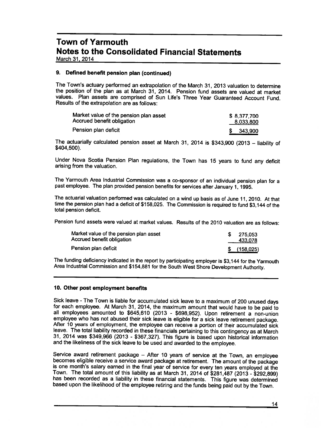### 9. Defined benefit pension plan (continued)

The Town's actuary performed an extrapolation of the March 31, 2013 valuation to determine the position of the plan as at March 31, 2014. Pension fund assets are valued at market values. Plan assets are comprised of Sun Life's Three Year Guaranteed Account Fund. Results of the extrapolation are as follows:

| Market value of the pension plan asset | \$8,377,700 |
|----------------------------------------|-------------|
| Accrued benefit obligation             | 8,033,800   |
| Pension plan deficit                   | 343,900     |

The actuarially calculated pension asset at March 31, 2014 is \$343,900 (2013 - liability of  $$404.500$ ).

Under Nova Scotia Pension Plan regulations, the Town has 15 years to fund any deficit arising from the valuation.

The Yarmouth Area Industrial Commission was a co-sponsor of an individual pension plan for a past employee. The plan provided pension benefits for services after January 1, 1995.

The actuarial valuation performed was calculated on a wind up basis as of June 11, 2010. At that time the pension plan had a deficit of \$158,025. The Commission is required to fund \$3,144 of the total pension deficit.

Pension fund assets were valued at market values. Results of the 2010 valuation are as follows:

| Market value of the pension plan asset<br>Accrued benefit obligation | 275.053<br>433.078 |
|----------------------------------------------------------------------|--------------------|
| Pension plan deficit                                                 | $$^{(158,025)}$    |

The funding deficiency indicated in the report by participating employer is \$3,144 for the Yarmouth Area Industrial Commission and \$154,881 for the South West Shore Development Authority.

### 10. Other post employment benefits

Sick leave - The Town is liable for accumulated sick leave to a maximum of 200 unused days for each employee. At March 31, 2014, the maximum amount that would have to be paid to all employees amounted to \$645,610 (2013 - \$698,952). Upon retirement a non-union employee who has not abused their sick leave is eligible for a sick leave retirement package. After 10 years of employment, the employee can receive a portion of their accumulated sick leave. The total liability recorded in these financials pertaining to this contingency as at March 31, 2014 was \$349,966 (2013 - \$367,327). This figure is based upon historical information and the likeliness of the sick leave to be used and awarded to the employee.

Service award retirement package - After 10 years of service at the Town, an employee becomes eligible receive a service award package at retirement. The amount of the package is one month's salary earned in the final year of service for every ten years employed at the Town. The total amount of this liability as at March 31, 2014 of \$281,487 (2013 - \$292,899) has been recorded as a liability in these financial statements. This figure was determined based upon the likelihood of the employee retiring and the funds being paid out by the Town.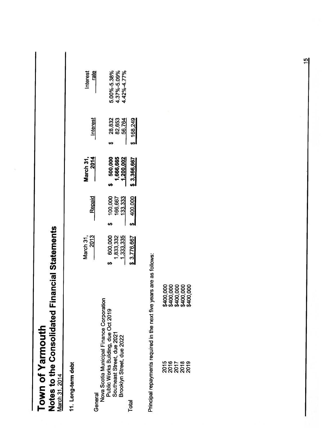Notes to the Consolidated Financial Statements<br>March 31, 2014 Town of Yarmouth

# 11. Long-term debt

| Interest<br>___ <u>rate</u> | 5.00%-5.38%<br>4.37%-5.09%<br>4.42%-4.77%                                                                                                                 |
|-----------------------------|-----------------------------------------------------------------------------------------------------------------------------------------------------------|
| <b>Interes</b>              | 28,832<br>82,653<br>56,764<br>168,249                                                                                                                     |
| March 31<br><u>201</u> 4    | 500,000<br>1,666,665<br><u>- 1,200,002</u><br>3,366,66;                                                                                                   |
| Repai                       | 100,000<br>166,667<br>133,333<br>400,000                                                                                                                  |
| March 31<br>2013            | 600,000<br>1,833,332<br><u>- 1,333,335</u><br>- 3,776,667                                                                                                 |
| General                     | noita<br>Nova Scotia Municipal Finance Corpora<br>Public Works Building, due Oct 2019<br>Southeast Street, due 2021<br>3rooklyn Street, due 2022<br>Total |

Principal repayments required in the next five years are as follows:

| \$400,000<br>\$400,000<br>\$400,000<br>\$400,000<br>\$400,000 |  |  |
|---------------------------------------------------------------|--|--|
| ង<br>ភីក្ដី ភីក្ដី<br>ភីក្ដី ភីក្ដី                           |  |  |

 $\frac{5}{2}$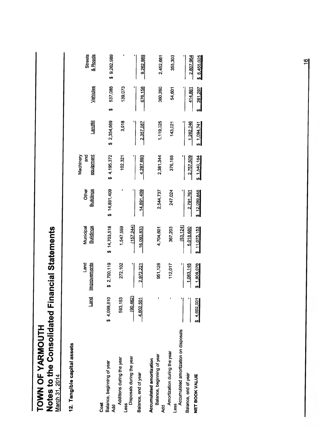**TOWN OF YARMOUTH<br>Notes to the Consolidated Financial Statements** 

# 12. Tangible capital assets

|                                                                    | <b>Land</b> | Land<br>mprovements | <b>Buildings</b><br>Municipal | <b>Buildings</b><br>Other | and<br>Machinery<br>eguipment | Landfill    | Vehicles | <b>Streets</b><br>& Roads |
|--------------------------------------------------------------------|-------------|---------------------|-------------------------------|---------------------------|-------------------------------|-------------|----------|---------------------------|
| Balance, beginning of year<br><b>Gost</b><br>Add                   | \$4,099,810 | \$2,700,119         | \$14,703,518                  | \$14,891,409              | \$4,195,372                   | \$2,354,069 | 537,085  | \$9,262,989               |
| Additions during the year<br>Less                                  | 593,153     | 272,102             | 1,547,559                     |                           | 102,321                       | 3,018       | 139,073  |                           |
| Disposals during the year                                          | (90, 462)   |                     | (157.244)                     |                           |                               |             |          |                           |
| Balance, end of year                                               | 4,602,501   | 2,972,221           | 16,093,833                    | 14,891,409                | 4,297,693                     | 2,357,087   | 676,158  | 9,262,989                 |
| Balance, beginning of year<br>Accumulated amortization<br>Rd<br>Ro |             | 951,128             | 4,704,601                     | 2,544,737                 | 2,381,344                     | 1,119,325   | 360,260  | 2,452,661                 |
| Amortization during the year<br>Less                               |             | 112,017             | 367,203                       | 247,024                   | 376,165                       | 143,021     | 54,601   | 355,303                   |
| Accumulated amortization on disposals                              |             |                     | (53, 124)                     |                           |                               |             |          |                           |
| Balance, end of year                                               |             | 1,063,145           | 5,018,680                     | 2.791.761                 | 2.757.509                     | 1,262,346   | 414,861  | 2.807,964                 |
| NET BOOK VALUE                                                     | \$4,602,501 | \$1,909,076         | \$11,075,153                  | \$12,099,648              | \$1,540,184                   | \$1,094,741 | 261,297  | \$6,455,025               |

 $\frac{1}{2}$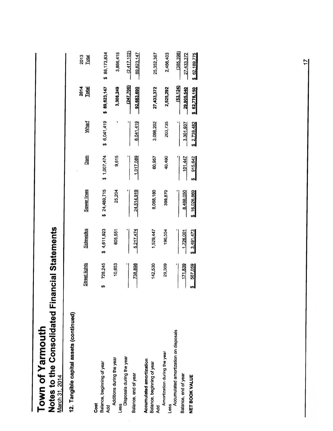| <b>Own of Yarmouth</b> | Notes to the Consolidated Financial Statements | March 31, 2014 |
|------------------------|------------------------------------------------|----------------|

| í<br>ì<br>֖֧֧֚֚֚֚֚֚֚֚֚֚֚֚֚֚֚֚֚֚֚֚֚֚֚֚֚֚֡֡֡֡֡֡֡֡֬֝֩ |  |
|----------------------------------------------------|--|
|                                                    |  |
| j                                                  |  |
| l                                                  |  |

|                                                                    | <b>Street lights</b> | Sidewalks    | <b>Sewer lines</b> | Dam         | <u>Wharf</u> | 2014<br><u>Total</u>     | 2013<br><u>Total</u>      |
|--------------------------------------------------------------------|----------------------|--------------|--------------------|-------------|--------------|--------------------------|---------------------------|
| Balance, beginning of year<br>Cost<br>Add                          | 728,245<br>မာ        | \$4,611,923  | \$ 24,489,715      | \$1,007,474 | \$6,041,419  | \$89,623,147             | \$88,173,834              |
| Additions during the year<br>Less                                  | 10,653               | 605,551      | 25,204             | 9,615       |              | 3,308,249                | 3,866,415                 |
| Disposals during the year<br>Balance, end of year                  | 738,898              | $-5.217.474$ | 24,514,919         | 1.017.089   | 6,041,419    | (247, 706)<br>92,683,690 | (2,417,102)<br>89,623,147 |
| Accumulated amortization<br>Balance, beginning of year<br>ਟ<br>ਟ੍ਰ | 142,530              | 1,529,447    | 8,088,180          | 60,957      | 3,098,202    | 27,433,372               | 25,352,367                |
| Amortization during the year<br>Less                               | 29,309               | 196,554      | 399,870            | 40,490      | 203,735      | 2,525,292                | 2,466,403                 |
| Accumulated amortization on disposals                              |                      |              |                    |             |              | (53, 124)                | (385, 398)                |
| Balance, end of year                                               | 171,839              | 1,726,001    | 8.488.050          | 101,447     | 3,301,937    | 29,905,540               | 27, 433, 372              |
| NET BOOK VALUE                                                     | 567,059              | \$3,491,473  | \$16,026,869       | \$915,642   | \$2,739,482  | \$62,778,150             | \$62,189,775              |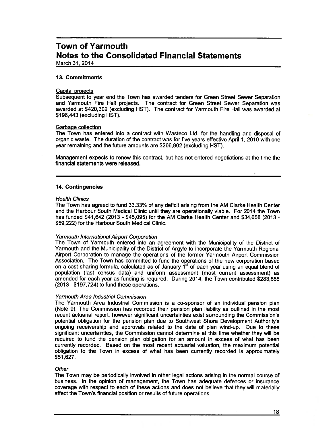March 31, 2014

### **13. Commitments**

### Capital projects

Subsequent to year end the Town has awarded tenders for Green Street Sewer Separation and Yarmouth Fire Hall projects. The contract for Green Street Sewer Separation was awarded at \$420,302 (excluding HST). The contract for Yarmouth Fire Hall was awarded at \$196,443 (excluding HST).

### **Garbage collection**

The Town has entered into a contract with Wasteco Ltd, for the handling and disposal of organic waste. The duration of the contract was for five years effective April 1, 2010 with one year remaining and the future amounts are \$266,902 (excluding HST).

Management expects to renew this contract, but has not entered negotiations at the time the financial statements were released.

### **14. Contingencies**

### **Health Clinics**

The Town has agreed to fund 33.33% of any deficit arising from the AM Clarke Health Center and the Harbour South Medical Clinic until they are operationally viable. For 2014 the Town has funded \$41.642 (2013 - \$45.095) for the AM Clarke Health Center and \$34.058 (2013 -\$59,222) for the Harbour South Medical Clinic.

### **Yarmouth International Airport Corporation**

The Town of Yarmouth entered into an agreement with the Municipality of the District of Yarmouth and the Municipality of the District of Argyle to incorporate the Yarmouth Regional Airport Corporation to manage the operations of the former Yarmouth Airport Commission Association. The Town has committed to fund the operations of the new corporation based on a cost sharing formula, calculated as of January 1<sup>st</sup> of each year using an equal blend of population (last census data) and uniform assessment (most current assessment) as amended for each year as funding is required. During 2014, the Town contributed \$283,555 (2013 - \$197,724) to fund these operations.

### Yarmouth Area Industrial Commission

The Yarmouth Area Industrial Commission is a co-sponsor of an individual pension plan (Note 9). The Commission has recorded their pension plan liability as outlined in the most recent actuarial report; however significant uncertainties exist surrounding the Commission's potential obligation for the pension plan due to Southwest Shore Development Authority's ongoing receivership and approvals related to the date of plan wind-up. Due to these significant uncertainties, the Commission cannot determine at this time whether they will be required to fund the pension plan obligation for an amount in excess of what has been currently recorded. Based on the most recent actuarial valuation, the maximum potential obligation to the Town in excess of what has been currently recorded is approximately \$51,627.

### Other

The Town may be periodically involved in other legal actions arising in the normal course of business. In the opinion of management, the Town has adequate defences or insurance coverage with respect to each of these actions and does not believe that they will materially affect the Town's financial position or results of future operations.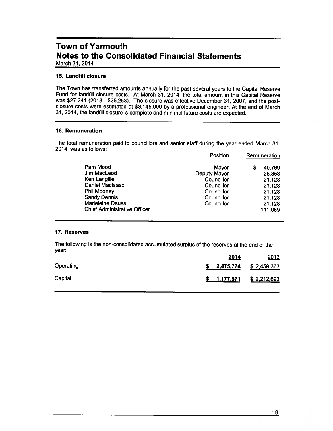### 15. Landfill closure

The Town has transferred amounts annually for the past several years to the Capital Reserve Fund for landfill closure costs. At March 31, 2014, the total amount in this Capital Reserve was \$27,241 (2013 - \$25,253). The closure was effective December 31, 2007, and the postclosure costs were estimated at \$3,145,000 by a professional engineer. At the end of March 31, 2014, the landfill closure is complete and minimal future costs are expected.

### 16. Remuneration

The total remuneration paid to councillors and senior staff during the year ended March 31, 2014, was as follows:

|                                     | <b>USILIUI</b> I |   |         |
|-------------------------------------|------------------|---|---------|
| Pam Mood                            | Mayor            | S | 40,769  |
| Jim MacLeod                         | Deputy Mayor     |   | 25,353  |
| Ken Langille                        | Councillor       |   | 21,128  |
| Daniel MacIsaac                     | Councillor       |   | 21,128  |
| <b>Phil Mooney</b>                  | Councillor       |   | 21,128  |
| <b>Sandy Dennis</b>                 | Councillor       |   | 21,128  |
| <b>Madeleine Daues</b>              | Councillor       |   | 21,128  |
| <b>Chief Administrative Officer</b> |                  |   | 111,689 |

**Docition** 

**Domunoration** 

### 17. Reserves

The following is the non-consolidated accumulated surplus of the reserves at the end of the year:  $\overline{a}$  $\overline{a}$ 

|           | 2014 | <u>2013</u>                        |
|-----------|------|------------------------------------|
| Operating |      | $\frac{2,475,774}{2}$ \$ 2,459,363 |
| Capital   |      | $$ 1,177,571$ $$ 2,212,693$        |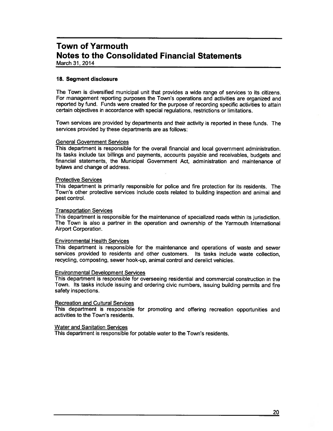March 31, 2014

### 18. Seament disclosure

The Town is diversified municipal unit that provides a wide range of services to its citizens. For management reporting purposes the Town's operations and activities are organized and reported by fund. Funds were created for the purpose of recording specific activities to attain certain objectives in accordance with special regulations, restrictions or limitations.

Town services are provided by departments and their activity is reported in these funds. The services provided by these departments are as follows:

### **General Government Services**

This department is responsible for the overall financial and local government administration. Its tasks include tax billings and payments, accounts payable and receivables, budgets and financial statements, the Municipal Government Act, administration and maintenance of bylaws and change of address.

### **Protective Services**

This department is primarily responsible for police and fire protection for its residents. The Town's other protective services include costs related to building inspection and animal and pest control.

### **Transportation Services**

This department is responsible for the maintenance of specialized roads within its jurisdiction. The Town is also a partner in the operation and ownership of the Yarmouth International Airport Corporation.

### **Environmental Health Services**

This department is responsible for the maintenance and operations of waste and sewer services provided to residents and other customers. Its tasks include waste collection, recycling, composting, sewer hook-up, animal control and derelict vehicles.

### **Environmental Development Services**

This department is responsible for overseeing residential and commercial construction in the Town. Its tasks include issuing and ordering civic numbers, issuing building permits and fire safety inspections.

### **Recreation and Cultural Services**

This department is responsible for promoting and offering recreation opportunities and activities to the Town's residents.

### **Water and Sanitation Services**

This department is responsible for potable water to the Town's residents.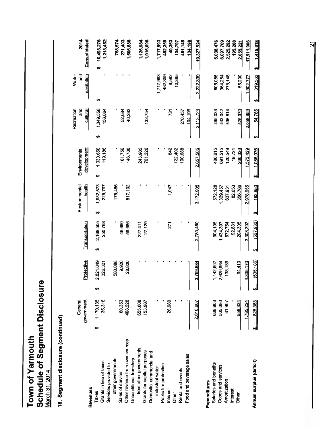**Schedule of Segment Disclosure**<br>March 31, 2014 Town of Yarmouth

# 18. Segment disclosure (continued)

| 1,415,618<br>$\bullet$ | 319,562<br>မာ | 54,765<br>မာ      | $$ -1.085,076$  | 193.950<br>မာ   | (527, 932)<br>ശി | (535, 186)      | 825,383         | Annual surplus (deficit)       |
|------------------------|---------------|-------------------|-----------------|-----------------|------------------|-----------------|-----------------|--------------------------------|
| 17,911,906             | 1,902,777     | 2,058,959         | 1,572,429       | 2,978,955       | 3,308,392        | 4,305,170       | 1,785,224       |                                |
| 2,055,221              | 55,290        | 525,070           | 260.026         | 356,786         | 204,305          | 94,410          | 559,334         |                                |
| 195,208                |               |                   | 19,724          | 82,653          | 92,831           |                 |                 | Interest<br>Other              |
| 2,525,292              | 278,148       | 595,814           | 120,549         | 637,931         | 672,754          | 138,189         | 81,907          | Amortization                   |
| 8,097,709              | 964,254       | 543,042           | 691,515         | 1,329,457       | 1,434,397        | 2,629,964       | 505,080         | Goods and services             |
| 5,038,476              | 605,085       | 395,033           | 480,615         | 572,128         | 904,105          | 1,442,607       | 638,903         | Salaries and benefits          |
|                        |               |                   |                 |                 |                  |                 |                 | Expenditures                   |
| 19.327,524             | 2,222,339     | 2,113,724         | 2,657,505       | 3,172,905       | 2.780,460        | 3,769,984       | 2,610,607       |                                |
| 104,196                |               | 104,196           |                 |                 |                  |                 |                 | Food and beverage sales        |
| 461,145                |               | 270,457           | 190,688         |                 |                  |                 |                 | Rental and events              |
| 134,797                | 12,395        |                   | 122,402         |                 |                  |                 |                 | <b>Other</b>                   |
| 40,363                 | 9,592         | 731               | SA2             | 1,947           | 271              |                 | 26,980          | Interest                       |
| 482,359                | 482,359       |                   |                 |                 |                  |                 |                 | Public fire protection         |
| 1,717,993              | 1,717,993     |                   |                 |                 |                  |                 |                 | industrial water               |
|                        |               |                   |                 |                 |                  |                 |                 | Domestic, commercial and       |
| 1,016,096              |               | 133,754           | 701,226         |                 | 27,129           |                 | 153,987         | Grants for capital purposes    |
| 1,126,984              |               |                   | 243,965         |                 | 227,411          |                 | 655,608         | from other governments         |
|                        |               |                   |                 |                 |                  |                 |                 | Unconditional transfers        |
| 1,506,886              |               | 46,282            | 146,788         | 817,102         | 59,686           | 28,800          | 408,228         | Other revenue from own sources |
| 271,403                |               | 52,684            | 101,750         |                 | 46,690           | 9,926           | 60,353          | Sales of service               |
| 758,574                |               |                   |                 | 175,486         |                  | 583,088         |                 | other governments              |
|                        |               |                   |                 |                 |                  |                 |                 | Services provided to           |
| 1,213,452              |               | 156,064           | 119,186         | 225,797         | 250,768          | 326,321         | 135,316         | Grants in lieu of taxes        |
| 10,493,276<br>ശ        | ↮             | 1,349,556<br>မာ   | 1,030,658<br>မာ | 1,952,573<br>မာ | 2,168,505<br>မာ  | 2,821,849<br>မာ | 1,170,135<br>မာ | Taxes                          |
|                        |               |                   |                 |                 |                  |                 |                 | Revenues                       |
| Consolidated           | sanitation    | cultural          | development     | <u>health</u>   | Transportation   | Protective      | government      |                                |
| 2014                   | and<br>Water  | Recreation<br>ang | Environmental   | Environmental   |                  |                 | General         |                                |
|                        |               |                   |                 |                 |                  |                 |                 |                                |

 $\overline{\mathbf{z}}$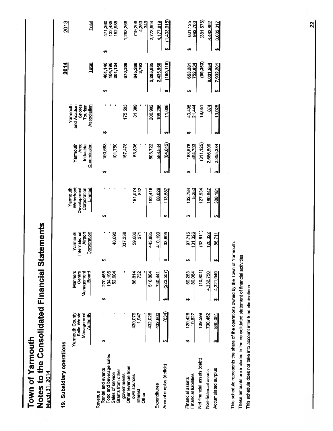Notes to the Consolidated Financial Statements<br>March 31, 2014 Town of Yarmouth

19. Subsidiary operations

| 19. Subsidiary operations             |                                              |                                         |                                      |                                                      |                                |                                                     | 2014               | 2013                     |
|---------------------------------------|----------------------------------------------|-----------------------------------------|--------------------------------------|------------------------------------------------------|--------------------------------|-----------------------------------------------------|--------------------|--------------------------|
|                                       | Solid Waste<br>Yarmouth County<br>Management | <b>Mariners</b><br>Centre<br>Management | Yarmouth<br>International<br>Airport | Yarmouth<br>Corporation<br>Waterfront<br>Development | Area<br>Yarmouth<br>Industrial | <b>Shores</b><br>Yarmouth<br>and Acadian<br>Tourism |                    |                          |
|                                       | Authority                                    | <b>Board</b>                            | Corporation                          | Limited                                              | Commission                     | Association                                         | <u>Total</u>       | <b>Total</b>             |
| Rental and events<br>Revenue          | မာ                                           | 270,458<br>69                           | မာ                                   | ↮                                                    | 190,688<br>ക                   | ക                                                   | ŁA                 | 471,360<br>မာ            |
| Food and beverage sales               |                                              | 104,196                                 |                                      |                                                      |                                |                                                     | 461,146<br>104,196 | 132,485                  |
| Grants from other<br>Sales of service |                                              | 52,684                                  | 46,690                               |                                                      | 101,750                        |                                                     | 201,124            | 152,985                  |
| Other revenue from<br>governments     |                                              |                                         | 337,238                              |                                                      | 157,478                        | 175,593                                             | 670,309            | 1,293,266                |
| own sources<br>Interest<br>Other      | 430,079<br>1,947                             | 88,814<br>732                           | 59,686<br>271                        | 181,574<br>842                                       | 53,806                         | 31,309                                              | 845,268<br>3,792   | 719,206<br>4,253         |
|                                       | 432,026                                      | 516,884                                 | 443,885                              | 182,416                                              | 503,722                        | 206,902                                             | 2,285,835          | 349<br>2,773,904         |
| Expenditures                          | 432,660                                      | 740,441                                 | 410,190                              | 68,829                                               | 588,534                        | 195,296                                             | 2,435,950          | 4,177,819                |
| Annual surplus (deficit)              | (634)                                        | (223, 557)<br>↮                         | 33,695<br>မာ                         | 113,587                                              | (84, 812)<br>ക                 | 11,606                                              | (150, 115)         | (1,403,915)              |
| Financial assets                      | 129,426                                      | 69,283<br>မာ                            | 97,715<br>မာ                         | 132,784<br>မာ                                        | 183,578<br>မာ                  | မာ                                                  |                    |                          |
| Financial liabilities                 | 19,827                                       | 80,084                                  | 131,326                              | 5,250                                                | 494,703                        | 40,495<br><u>21.444</u>                             | 653,281<br>752,634 | 601,125<br>982,700<br>မာ |
| vet financial assets (debt)           | 109,599                                      | (10, 801)                               | (33, 611)                            | 127,534                                              | (311, 125)                     | 19,051                                              | (99, 353)          | (381, 575)               |
| <b>Jon-financial assets</b>           | 730,452                                      | 4,332,750                               | 120,322                              | 180,647                                              | 2,666,509                      | 874                                                 | 8,031,554          | 8,463,892                |
| <b>Accumulated surplus</b>            | 840,051                                      | $\frac{1}{2}$ 4,321,949                 | 86,711<br>မာ                         | 308,181<br>↮                                         | 2,355,384<br>မာ                | 19,925                                              | \$7,932,201        | 8,082,317<br>ക           |
|                                       |                                              |                                         |                                      |                                                      |                                |                                                     |                    |                          |

This schedule represents the share of the operations owned by the Town of Yarmouth.

These amounts are included in the consolidated statement of financial activities.

This schedule does not take into account inter-fund eliminations.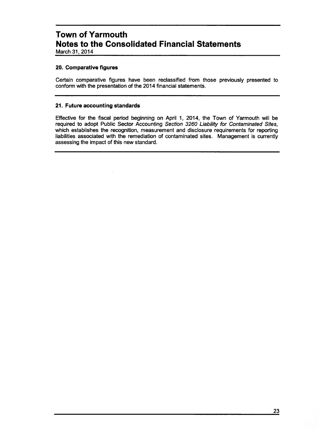March 31, 2014

### 20. Comparative figures

Certain comparative figures have been reclassified from those previously presented to conform with the presentation of the 2014 financial statements.

### 21. Future accounting standards

ġ,

Effective for the fiscal period beginning on April 1, 2014, the Town of Yarmouth will be required to adopt Public Sector Accounting Section 3260 Liability for Contaminated Sites, which establishes the recognition, measurement and disclosure requirements for reporting liabilities associated with the remediation of contaminated sites. Management is currently assessing the impact of this new standard.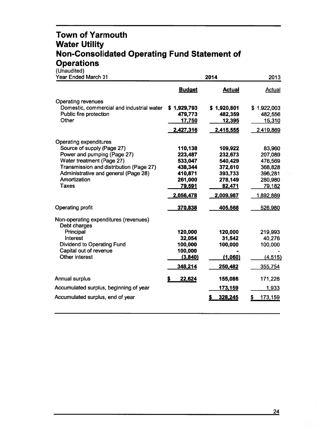# **Town of Yarmouth Water Utility** Non-Consolidated Operating Fund Statement of **Operations**

| Year Ended March 31                       |                   | 2014              | 2013              |
|-------------------------------------------|-------------------|-------------------|-------------------|
|                                           | <b>Budget</b>     | <b>Actual</b>     | <b>Actual</b>     |
| <b>Operating revenues</b>                 |                   |                   |                   |
| Domestic, commercial and industrial water | \$1,929,793       | \$1,920,801       | \$1,922,003       |
| Public fire protection                    | 479,773           | 482,359           | 482,556           |
| Other                                     | 17,750            | 12,395            | 15,310            |
|                                           | 2,427,316         | 2,415,555         | 2,419,869         |
| <b>Operating expenditures</b>             |                   |                   |                   |
| Source of supply (Page 27)                | 110,138           | 109,922           | 83,960            |
| Power and pumping (Page 27)               | 223,487           | 232,673           | 207,089           |
| Water treatment (Page 27)                 | 533,047           | 540,429           | 476,569           |
| Transmission and distribution (Page 27)   | 438,344           | 372,610           | 368,828           |
| Administrative and general (Page 28)      | 410,871           | 393,733           | 396,281           |
| Amortization                              | 261,000           | 278,149           | 280,980           |
| <b>Taxes</b>                              | 79,591            | 82,471            | 79,182            |
|                                           | 2,056,478         | 2,009,987         | 1,892,889         |
| <b>Operating profit</b>                   | 370,838           | 405,568           | 526,980           |
| Non-operating expenditures (revenues)     |                   |                   |                   |
| Debt charges                              |                   |                   |                   |
| Principal<br>Interest                     | 120,000<br>32,054 | 120,000<br>31,542 | 219,993<br>40,276 |
| <b>Dividend to Operating Fund</b>         | 100,000           | 100,000           | 100,000           |
| Capital out of revenue                    | 100,000           |                   |                   |
| <b>Other interest</b>                     | (3,840)           | (1,060)           | (4, 515)          |
|                                           | 348,214           | 250,482           | 355,754           |
| Annual surplus                            | 22,624<br>S       | 155,086           | 171,226           |
|                                           |                   |                   |                   |
| Accumulated surplus, beginning of year    |                   | 173,159           | 1,933             |
| Accumulated surplus, end of year          |                   | 328,245           | 173,159<br>\$     |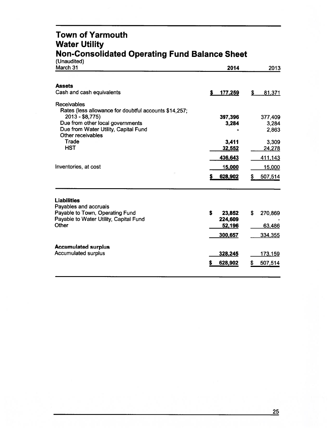# **Town of Yarmouth Water Utility** Non-Consolidated Operating Fund Balance Sheet

| (Unaudited)<br>March 31                                                     | 2014           | 2013          |
|-----------------------------------------------------------------------------|----------------|---------------|
|                                                                             |                |               |
| <b>Assets</b>                                                               |                |               |
| Cash and cash equivalents                                                   | \$.<br>177,259 | \$<br>81,371  |
| <b>Receivables</b><br>Rates (less allowance for doubtful accounts \$14,257; |                |               |
| 2013 - \$8,775)                                                             | 397,396        | 377,409       |
| Due from other local governments                                            | 3,284          | 3,284         |
| Due from Water Utility, Capital Fund<br>Other receivables                   |                | 2,863         |
| <b>Trade</b>                                                                | 3,411          | 3,309         |
| <b>HST</b>                                                                  | <u>32,552</u>  | 24,278        |
|                                                                             | 436,643        | 411,143       |
| Inventories, at cost                                                        | 15,000         | 15,000        |
|                                                                             | 628,902        | \$<br>507,514 |
| <b>Liabilities</b><br>Payables and accruals                                 |                |               |
| Payable to Town, Operating Fund                                             | \$<br>23,852   | \$<br>270,869 |
| Payable to Water Utility, Capital Fund                                      | 224,609        |               |
| Other                                                                       | 52,196         | 63,486        |
|                                                                             | 300,657        | 334,355       |
| <b>Accumulated surplus</b>                                                  |                |               |
| <b>Accumulated surplus</b>                                                  | 328,245        | 173,159       |
|                                                                             | 628,902        | 507,514<br>S  |
|                                                                             |                |               |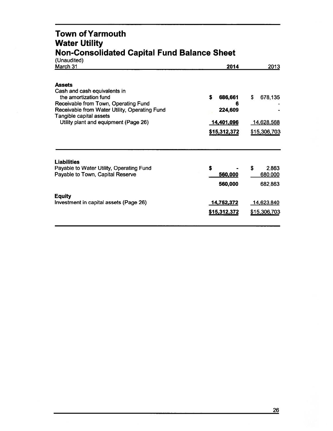# **Town of Yarmouth Water Utility** Non-Consolidated Capital Fund Balance Sheet

| (Unaudited)<br>March 31                                                                                                                                                                    | 2014                          | 2013                              |
|--------------------------------------------------------------------------------------------------------------------------------------------------------------------------------------------|-------------------------------|-----------------------------------|
| <b>Assets</b><br>Cash and cash equivalents in<br>the amortization fund<br>Receivable from Town, Operating Fund<br>Receivable from Water Utility, Operating Fund<br>Tangible capital assets | \$<br>686,661<br>6<br>224,609 | \$<br>678,135                     |
| Utility plant and equipment (Page 26)                                                                                                                                                      | 14,401,096<br>\$15,312,372    | <u>14,628,568</u><br>\$15,306,703 |
| <b>Liabilities</b><br>Payable to Water Utility, Operating Fund                                                                                                                             | \$                            | S<br>2,863                        |
| Payable to Town, Capital Reserve                                                                                                                                                           | 560,000<br>560,000            | 680,000<br>682,863                |
| <b>Equity</b><br>Investment in capital assets (Page 26)                                                                                                                                    | 14,752,372<br>\$15,312,372    | 14,623,840<br>\$15,306,703        |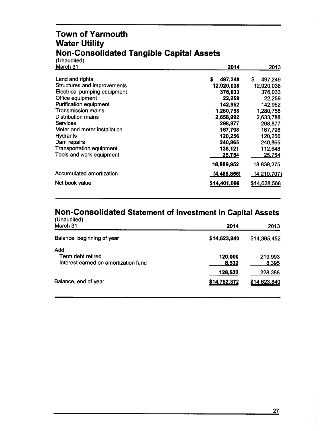### **Town of Yarmouth Water Utility** Non-Consolidated Tangible Capital Assets (Unaudited)

| March 31                        | 2014         | 2013         |
|---------------------------------|--------------|--------------|
| Land and rights                 | S<br>497,249 | S<br>497,249 |
| Structures and improvements     | 12,920,038   | 12,920,038   |
| Electrical pumping equipment    | 376,033      | 376,033      |
| Office equipment                | 22,259       | 22,259       |
| <b>Purification equipment</b>   | 142.952      | 142,952      |
| <b>Transmission mains</b>       | 1,280,758    | 1,280,758    |
| Distribution mains              | 2,658,992    | 2,633,788    |
| <b>Services</b>                 | 298,877      | 298,877      |
| Meter and meter installation    | 167,798      | 167,798      |
| <b>Hydrants</b>                 | 120,256      | 120.256      |
| Dam repairs                     | 240,865      | 240,865      |
| <b>Transportation equipment</b> | 138,121      | 112,648      |
| Tools and work equipment        | 25,754       | 25,754       |
|                                 | 18,889,952   | 18,839,275   |
| Accumulated amortization        | (4,488,856)  | (4,210,707)  |
| Net book value                  | \$14,401,096 | \$14,628,568 |

### Non-Consolidated Statement of Investment in Capital Assets (Unaudited)

| , , , , , , , , , , , , ,<br>March 31 | 2014         | 2013         |  |
|---------------------------------------|--------------|--------------|--|
| Balance, beginning of year            | \$14,623,840 | \$14,395,452 |  |
| Add                                   |              |              |  |
| Term debt retired                     | 120,000      | 219,993      |  |
| Interest earned on amortization fund  | 8,532        | 8,395        |  |
|                                       | 128,532      | 228,388      |  |
| Balance, end of year                  | \$14,752,372 | \$14,623,840 |  |
|                                       |              |              |  |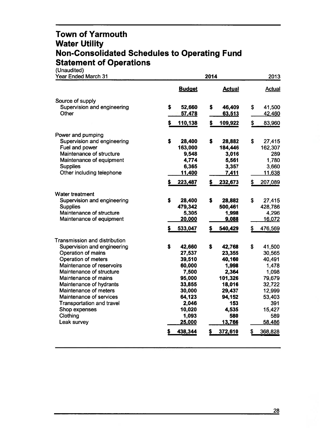# **Town of Yarmouth Water Utility** Non-Consolidated Schedules to Operating Fund **Statement of Operations**

| (Unauulleu)<br>2014<br>Year Ended March 31                                                                                                                                                                                                                                                                                                                       |                                                                                                                                              |                                                                                                                                         | 2013                                                                                                                                          |  |
|------------------------------------------------------------------------------------------------------------------------------------------------------------------------------------------------------------------------------------------------------------------------------------------------------------------------------------------------------------------|----------------------------------------------------------------------------------------------------------------------------------------------|-----------------------------------------------------------------------------------------------------------------------------------------|-----------------------------------------------------------------------------------------------------------------------------------------------|--|
|                                                                                                                                                                                                                                                                                                                                                                  | <b>Budget</b>                                                                                                                                | <b>Actual</b>                                                                                                                           | <b>Actual</b>                                                                                                                                 |  |
| Source of supply<br>Supervision and engineering<br>Other                                                                                                                                                                                                                                                                                                         | \$<br>52,660<br>57,478                                                                                                                       | \$<br>46,409<br>63,513                                                                                                                  | \$<br>41,500<br>42,460                                                                                                                        |  |
|                                                                                                                                                                                                                                                                                                                                                                  | S<br>110,138                                                                                                                                 | \$<br>109,922                                                                                                                           | \$<br>83,960                                                                                                                                  |  |
| Power and pumping<br>Supervision and engineering<br>Fuel and power<br>Maintenance of structure<br>Maintenance of equipment<br><b>Supplies</b><br>Other including telephone                                                                                                                                                                                       | \$<br>28,400<br>163,000<br>9,548<br>4,774<br>6,365<br>11,400<br>223,487                                                                      | \$<br>28,882<br>184,446<br>3,016<br>5,561<br>3,357<br><u>7,411</u><br>232,673                                                           | \$<br>27,415<br>162,307<br>289<br>1,780<br>3,660<br>11,638<br>\$<br>207,089                                                                   |  |
| Water treatment<br>Supervision and engineering<br><b>Supplies</b><br>Maintenance of structure<br>Maintenance of equipment                                                                                                                                                                                                                                        | \$<br>28,400<br>479,342<br>5,305<br>20,000<br>533,047<br>S                                                                                   | \$<br>28,882<br>500,461<br>1,998<br>9,088<br>540,429                                                                                    | \$<br>27,415<br>428,786<br>4,296<br>16,072<br>476,569                                                                                         |  |
| <b>Transmission and distribution</b><br>Supervision and engineering<br>Operation of mains<br>Operation of meters<br>Maintenance of reservoirs<br>Maintenance of structure<br>Maintenance of mains<br>Maintenance of hydrants<br>Maintenance of meters<br>Maintenance of services<br><b>Transportation and travel</b><br>Shop expenses<br>Clothing<br>Leak survey | \$<br>42,660<br>27,537<br>39,510<br>60,000<br>7,500<br>95,000<br>33,855<br>30,000<br>64,123<br>2,046<br>10,020<br>1,093<br>25,000<br>438,344 | \$<br>42,768<br>23,355<br>40,160<br>1,998<br>2,364<br>101,326<br>18,016<br>29,437<br>94,152<br>153<br>4,535<br>580<br>13,766<br>372,610 | \$<br>41,500<br>30,565<br>40,491<br>1,478<br>1,098<br>79,679<br>32,722<br>12,999<br>53,403<br>391<br>15,427<br>589<br>58,486<br>368,828<br>\$ |  |